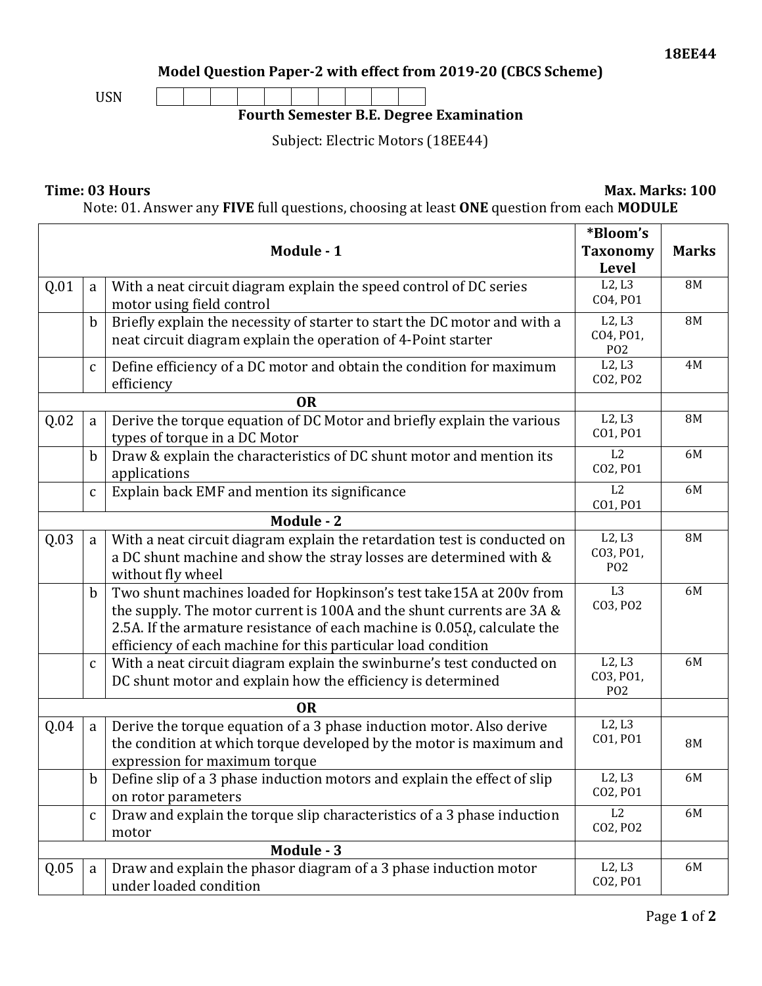$\overline{\phantom{a}}$ 

**Model Question Paper-2 with effect from 2019-20 (CBCS Scheme)**



## **Fourth Semester B.E. Degree Examination**

Subject: Electric Motors (18EE44)

## **Time: 03 Hours Max. Marks: 100**

Note: 01. Answer any **FIVE** full questions, choosing at least **ONE** question from each **MODULE**

|            |              | Module - 1                                                                                                                                                                                                                                                                                        | *Bloom's<br><b>Taxonomy</b><br><b>Level</b>        | <b>Marks</b> |
|------------|--------------|---------------------------------------------------------------------------------------------------------------------------------------------------------------------------------------------------------------------------------------------------------------------------------------------------|----------------------------------------------------|--------------|
| Q.01       | a            | With a neat circuit diagram explain the speed control of DC series<br>motor using field control                                                                                                                                                                                                   | L2, L3<br>CO4, PO1                                 | <b>8M</b>    |
|            | $\mathbf b$  | Briefly explain the necessity of starter to start the DC motor and with a<br>neat circuit diagram explain the operation of 4-Point starter                                                                                                                                                        | L2, L3<br>CO4, PO1,<br>P <sub>O</sub> <sub>2</sub> | <b>8M</b>    |
|            | $\mathbf{C}$ | Define efficiency of a DC motor and obtain the condition for maximum<br>efficiency                                                                                                                                                                                                                | L2, L3<br>CO2, PO2                                 | 4M           |
| <b>OR</b>  |              |                                                                                                                                                                                                                                                                                                   |                                                    |              |
| Q.02       | a            | Derive the torque equation of DC Motor and briefly explain the various<br>types of torque in a DC Motor                                                                                                                                                                                           | L2, L3<br>CO1, PO1                                 | <b>8M</b>    |
|            | $\mathbf b$  | Draw & explain the characteristics of DC shunt motor and mention its<br>applications                                                                                                                                                                                                              | L2<br>CO2, PO1                                     | 6M           |
|            | $\mathbf{C}$ | Explain back EMF and mention its significance                                                                                                                                                                                                                                                     | L2<br>CO1, PO1                                     | 6M           |
| Module - 2 |              |                                                                                                                                                                                                                                                                                                   |                                                    |              |
| Q.03       | a            | With a neat circuit diagram explain the retardation test is conducted on<br>a DC shunt machine and show the stray losses are determined with &<br>without fly wheel                                                                                                                               | L2, L3<br>CO3, PO1,<br>P <sub>0</sub> 2            | <b>8M</b>    |
|            | $\mathbf b$  | Two shunt machines loaded for Hopkinson's test take15A at 200v from<br>the supply. The motor current is 100A and the shunt currents are 3A &<br>2.5A. If the armature resistance of each machine is $0.05\Omega$ , calculate the<br>efficiency of each machine for this particular load condition | L <sub>3</sub><br>CO3, PO2                         | 6M           |
|            | $\mathbf{C}$ | With a neat circuit diagram explain the swinburne's test conducted on<br>DC shunt motor and explain how the efficiency is determined                                                                                                                                                              | L2, L3<br>CO3, PO1,<br>P <sub>O</sub> <sub>2</sub> | 6M           |
| 0R         |              |                                                                                                                                                                                                                                                                                                   |                                                    |              |
| Q.04       | a            | Derive the torque equation of a 3 phase induction motor. Also derive<br>the condition at which torque developed by the motor is maximum and<br>expression for maximum torque                                                                                                                      | L2, L3<br>CO1, PO1                                 | <b>8M</b>    |
|            |              | Define slip of a 3 phase induction motors and explain the effect of slip<br>on rotor parameters                                                                                                                                                                                                   | L2, L3<br>CO2, PO1                                 | 6M           |
|            | $\mathsf C$  | Draw and explain the torque slip characteristics of a 3 phase induction<br>motor                                                                                                                                                                                                                  | L2<br>CO2, PO2                                     | 6M           |
| Module - 3 |              |                                                                                                                                                                                                                                                                                                   |                                                    |              |
| Q.05       | a            | Draw and explain the phasor diagram of a 3 phase induction motor<br>under loaded condition                                                                                                                                                                                                        | L2, L3<br>CO2, PO1                                 | 6M           |